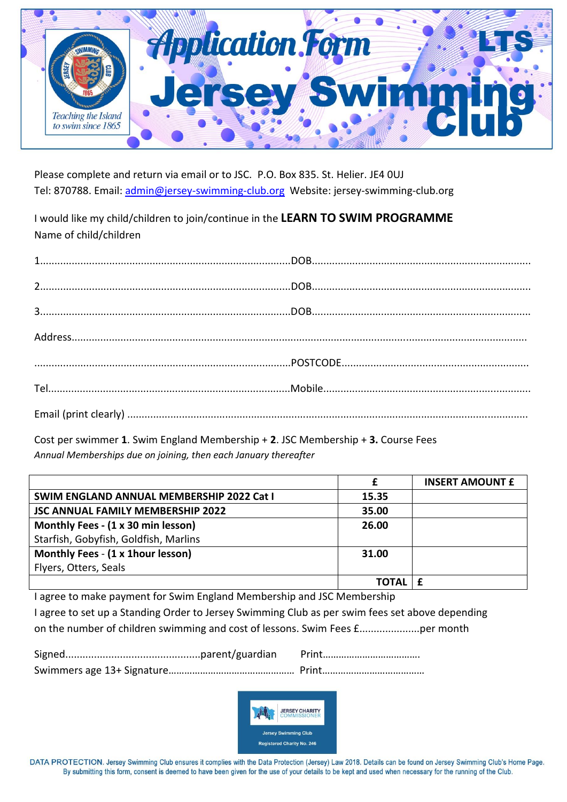

Please complete and return via email or to JSC. P.O. Box 835. St. Helier. JE4 0UJ Tel: 870788. Email: [admin@jersey-swimming-club.org](mailto:admin@jersey-swimming-club.org) Website: jersey-swimming-club.org

I would like my child/children to join/continue in the **LEARN TO SWIM PROGRAMME** Name of child/children

Cost per swimmer **1**. Swim England Membership + **2**. JSC Membership + **3.** Course Fees *Annual Memberships due on joining, then each January thereafter*

|                                                  |       | <b>INSERT AMOUNT £</b> |
|--------------------------------------------------|-------|------------------------|
| <b>SWIM ENGLAND ANNUAL MEMBERSHIP 2022 Cat I</b> | 15.35 |                        |
| <b>JSC ANNUAL FAMILY MEMBERSHIP 2022</b>         | 35.00 |                        |
| Monthly Fees - (1 x 30 min lesson)               | 26.00 |                        |
| Starfish, Gobyfish, Goldfish, Marlins            |       |                        |
| Monthly Fees - (1 x 1hour lesson)                | 31.00 |                        |
| Flyers, Otters, Seals                            |       |                        |
|                                                  | TOTAL |                        |

I agree to make payment for Swim England Membership and JSC Membership I agree to set up a Standing Order to Jersey Swimming Club as per swim fees set above depending on the number of children swimming and cost of lessons. Swim Fees £.....................per month



DATA PROTECTION. Jersey Swimming Club ensures it complies with the Data Protection (Jersey) Law 2018. Details can be found on Jersey Swimming Club's Home Page. By submitting this form, consent is deemed to have been given for the use of your details to be kept and used when necessary for the running of the Club.